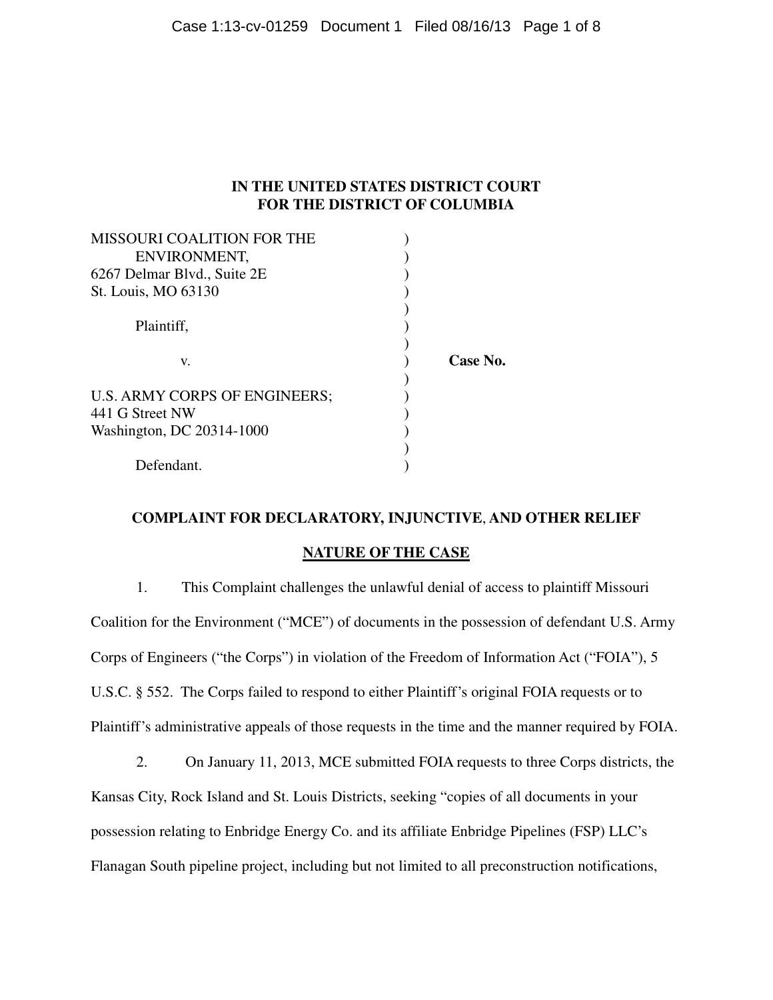# **IN THE UNITED STATES DISTRICT COURT FOR THE DISTRICT OF COLUMBIA**

| <b>MISSOURI COALITION FOR THE</b> |          |
|-----------------------------------|----------|
| ENVIRONMENT,                      |          |
| 6267 Delmar Blvd., Suite 2E       |          |
| St. Louis, MO 63130               |          |
|                                   |          |
| Plaintiff,                        |          |
|                                   |          |
| v.                                | Case No. |
|                                   |          |
| U.S. ARMY CORPS OF ENGINEERS;     |          |
| 441 G Street NW                   |          |
| Washington, DC 20314-1000         |          |
|                                   |          |
| Defendant.                        |          |

## **COMPLAINT FOR DECLARATORY, INJUNCTIVE**, **AND OTHER RELIEF**

## **NATURE OF THE CASE**

1. This Complaint challenges the unlawful denial of access to plaintiff Missouri Coalition for the Environment ("MCE") of documents in the possession of defendant U.S. Army Corps of Engineers ("the Corps") in violation of the Freedom of Information Act ("FOIA"), 5 U.S.C. § 552. The Corps failed to respond to either Plaintiff's original FOIA requests or to Plaintiff's administrative appeals of those requests in the time and the manner required by FOIA.

2. On January 11, 2013, MCE submitted FOIA requests to three Corps districts, the Kansas City, Rock Island and St. Louis Districts, seeking "copies of all documents in your possession relating to Enbridge Energy Co. and its affiliate Enbridge Pipelines (FSP) LLC's Flanagan South pipeline project, including but not limited to all preconstruction notifications,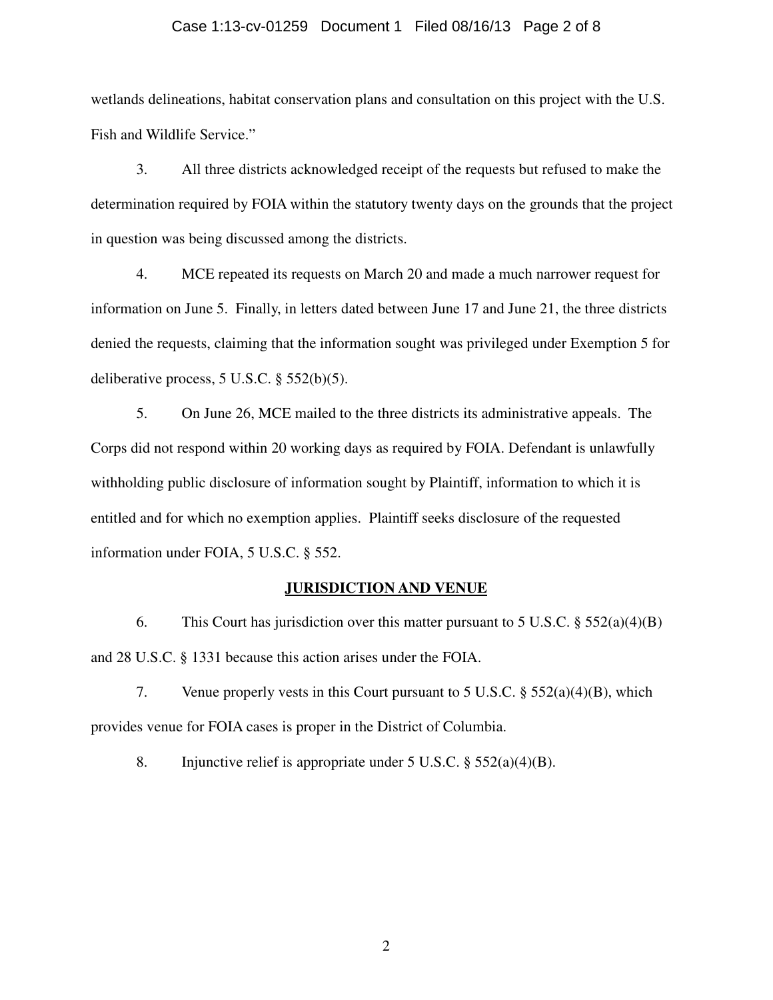### Case 1:13-cv-01259 Document 1 Filed 08/16/13 Page 2 of 8

wetlands delineations, habitat conservation plans and consultation on this project with the U.S. Fish and Wildlife Service."

3. All three districts acknowledged receipt of the requests but refused to make the determination required by FOIA within the statutory twenty days on the grounds that the project in question was being discussed among the districts.

4. MCE repeated its requests on March 20 and made a much narrower request for information on June 5. Finally, in letters dated between June 17 and June 21, the three districts denied the requests, claiming that the information sought was privileged under Exemption 5 for deliberative process, 5 U.S.C. § 552(b)(5).

5. On June 26, MCE mailed to the three districts its administrative appeals. The Corps did not respond within 20 working days as required by FOIA. Defendant is unlawfully withholding public disclosure of information sought by Plaintiff, information to which it is entitled and for which no exemption applies. Plaintiff seeks disclosure of the requested information under FOIA, 5 U.S.C. § 552.

### **JURISDICTION AND VENUE**

6. This Court has jurisdiction over this matter pursuant to 5 U.S.C.  $\S$  552(a)(4)(B) and 28 U.S.C. § 1331 because this action arises under the FOIA.

7. Venue properly vests in this Court pursuant to 5 U.S.C. § 552(a)(4)(B), which provides venue for FOIA cases is proper in the District of Columbia.

8. Injunctive relief is appropriate under 5 U.S.C.  $\S 552(a)(4)(B)$ .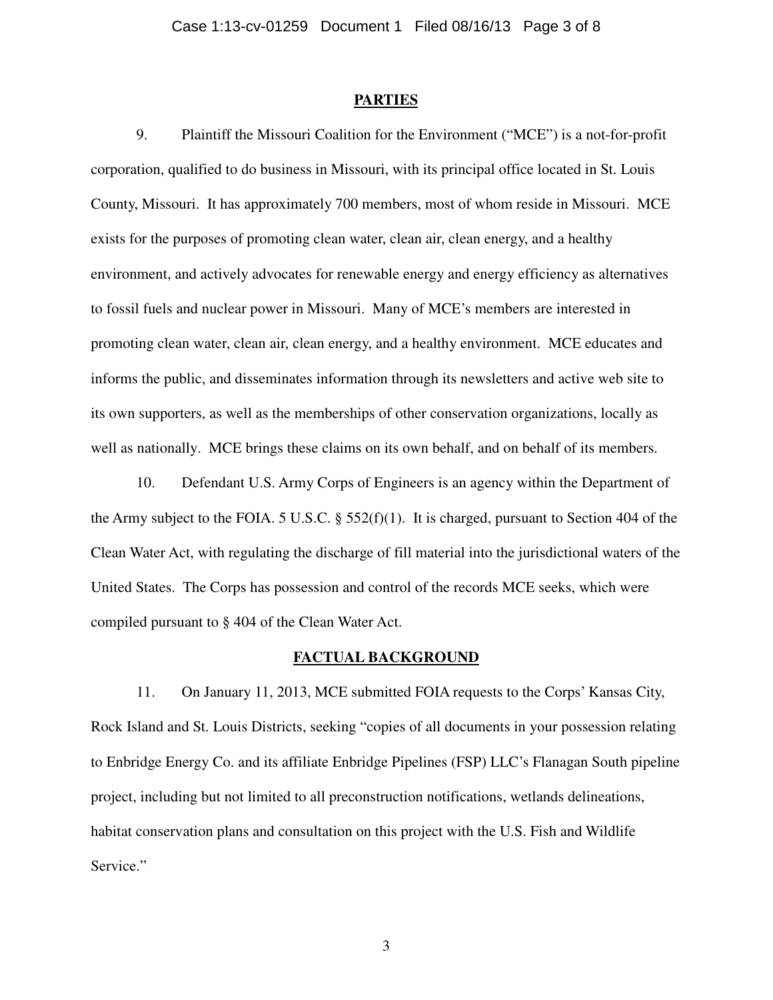#### **PARTIES**

9. Plaintiff the Missouri Coalition for the Environment ("MCE") is a not-for-profit corporation, qualified to do business in Missouri, with its principal office located in St. Louis County, Missouri. It has approximately 700 members, most of whom reside in Missouri. MCE exists for the purposes of promoting clean water, clean air, clean energy, and a healthy environment, and actively advocates for renewable energy and energy efficiency as alternatives to fossil fuels and nuclear power in Missouri. Many of MCE's members are interested in promoting clean water, clean air, clean energy, and a healthy environment. MCE educates and informs the public, and disseminates information through its newsletters and active web site to its own supporters, as well as the memberships of other conservation organizations, locally as well as nationally. MCE brings these claims on its own behalf, and on behalf of its members.

10. Defendant U.S. Army Corps of Engineers is an agency within the Department of the Army subject to the FOIA. 5 U.S.C. § 552(f)(1). It is charged, pursuant to Section 404 of the Clean Water Act, with regulating the discharge of fill material into the jurisdictional waters of the United States. The Corps has possession and control of the records MCE seeks, which were compiled pursuant to § 404 of the Clean Water Act.

### **FACTUAL BACKGROUND**

11. On January 11, 2013, MCE submitted FOIA requests to the Corps' Kansas City, Rock Island and St. Louis Districts, seeking "copies of all documents in your possession relating to Enbridge Energy Co. and its affiliate Enbridge Pipelines (FSP) LLC's Flanagan South pipeline project, including but not limited to all preconstruction notifications, wetlands delineations, habitat conservation plans and consultation on this project with the U.S. Fish and Wildlife Service."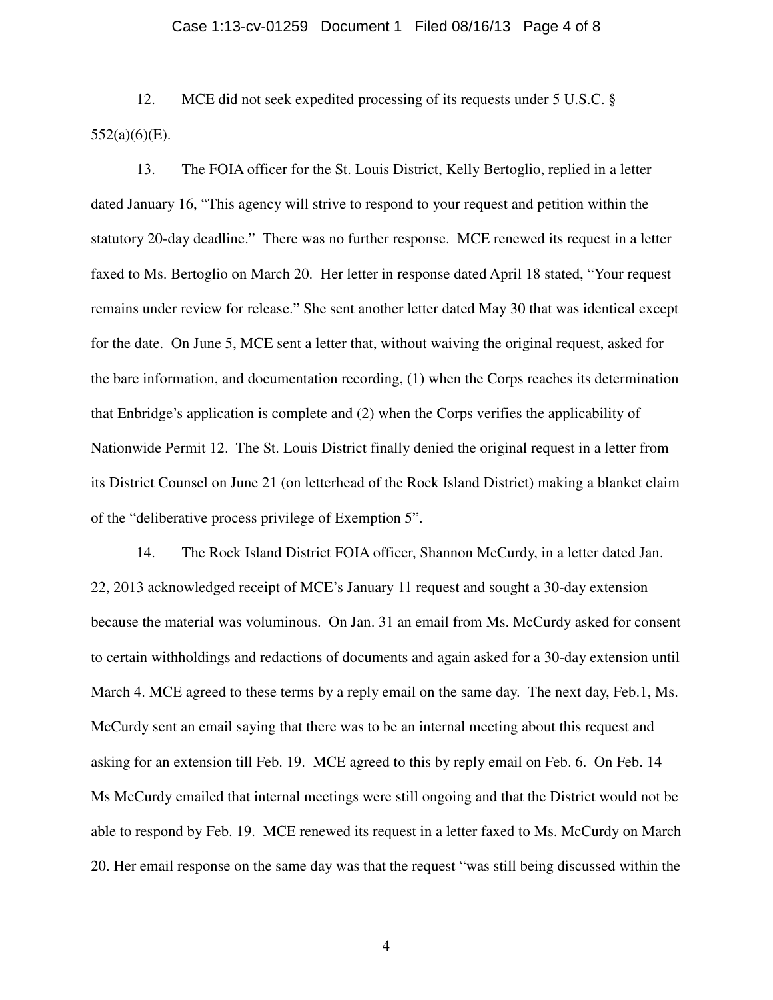# Case 1:13-cv-01259 Document 1 Filed 08/16/13 Page 4 of 8

12. MCE did not seek expedited processing of its requests under 5 U.S.C. § 552(a)(6)(E).

13. The FOIA officer for the St. Louis District, Kelly Bertoglio, replied in a letter dated January 16, "This agency will strive to respond to your request and petition within the statutory 20-day deadline." There was no further response. MCE renewed its request in a letter faxed to Ms. Bertoglio on March 20. Her letter in response dated April 18 stated, "Your request remains under review for release." She sent another letter dated May 30 that was identical except for the date. On June 5, MCE sent a letter that, without waiving the original request, asked for the bare information, and documentation recording, (1) when the Corps reaches its determination that Enbridge's application is complete and (2) when the Corps verifies the applicability of Nationwide Permit 12. The St. Louis District finally denied the original request in a letter from its District Counsel on June 21 (on letterhead of the Rock Island District) making a blanket claim of the "deliberative process privilege of Exemption 5".

14. The Rock Island District FOIA officer, Shannon McCurdy, in a letter dated Jan. 22, 2013 acknowledged receipt of MCE's January 11 request and sought a 30-day extension because the material was voluminous. On Jan. 31 an email from Ms. McCurdy asked for consent to certain withholdings and redactions of documents and again asked for a 30-day extension until March 4. MCE agreed to these terms by a reply email on the same day. The next day, Feb.1, Ms. McCurdy sent an email saying that there was to be an internal meeting about this request and asking for an extension till Feb. 19. MCE agreed to this by reply email on Feb. 6. On Feb. 14 Ms McCurdy emailed that internal meetings were still ongoing and that the District would not be able to respond by Feb. 19. MCE renewed its request in a letter faxed to Ms. McCurdy on March 20. Her email response on the same day was that the request "was still being discussed within the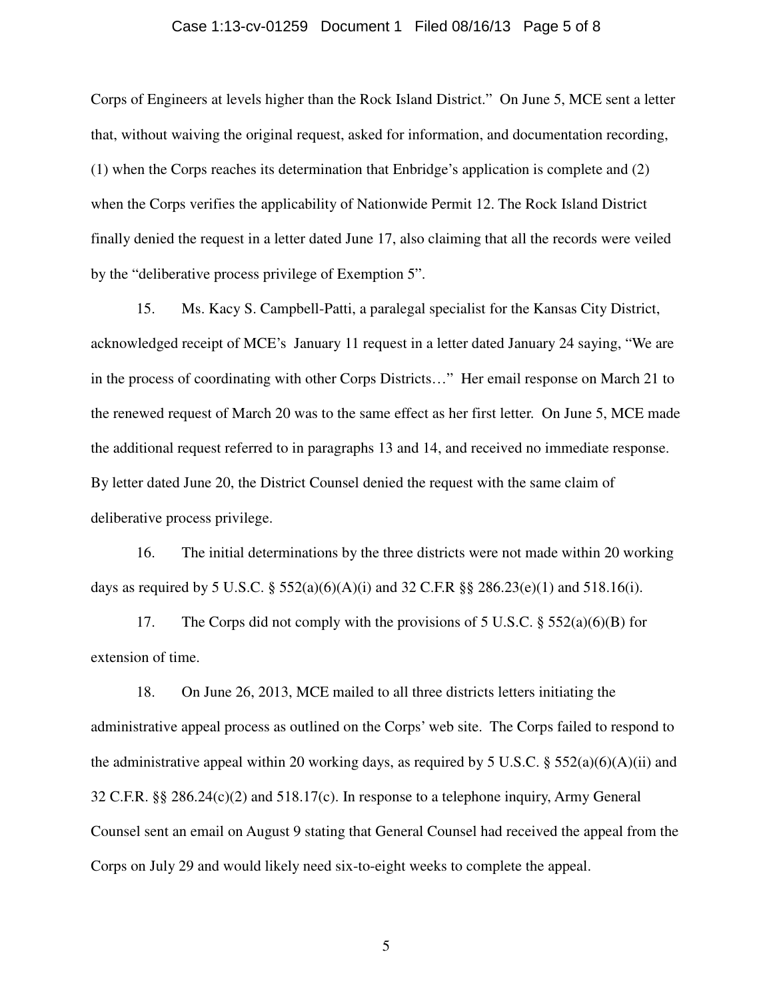### Case 1:13-cv-01259 Document 1 Filed 08/16/13 Page 5 of 8

Corps of Engineers at levels higher than the Rock Island District." On June 5, MCE sent a letter that, without waiving the original request, asked for information, and documentation recording, (1) when the Corps reaches its determination that Enbridge's application is complete and (2) when the Corps verifies the applicability of Nationwide Permit 12. The Rock Island District finally denied the request in a letter dated June 17, also claiming that all the records were veiled by the "deliberative process privilege of Exemption 5".

15. Ms. Kacy S. Campbell-Patti, a paralegal specialist for the Kansas City District, acknowledged receipt of MCE's January 11 request in a letter dated January 24 saying, "We are in the process of coordinating with other Corps Districts…" Her email response on March 21 to the renewed request of March 20 was to the same effect as her first letter. On June 5, MCE made the additional request referred to in paragraphs 13 and 14, and received no immediate response. By letter dated June 20, the District Counsel denied the request with the same claim of deliberative process privilege.

16. The initial determinations by the three districts were not made within 20 working days as required by 5 U.S.C.  $\S 552(a)(6)(A)(i)$  and 32 C.F.R  $\S 286.23(e)(1)$  and 518.16(i).

17. The Corps did not comply with the provisions of 5 U.S.C.  $\S$  552(a)(6)(B) for extension of time.

18. On June 26, 2013, MCE mailed to all three districts letters initiating the administrative appeal process as outlined on the Corps' web site. The Corps failed to respond to the administrative appeal within 20 working days, as required by 5 U.S.C. § 552(a)(6)(A)(ii) and 32 C.F.R. §§ 286.24(c)(2) and 518.17(c). In response to a telephone inquiry, Army General Counsel sent an email on August 9 stating that General Counsel had received the appeal from the Corps on July 29 and would likely need six-to-eight weeks to complete the appeal.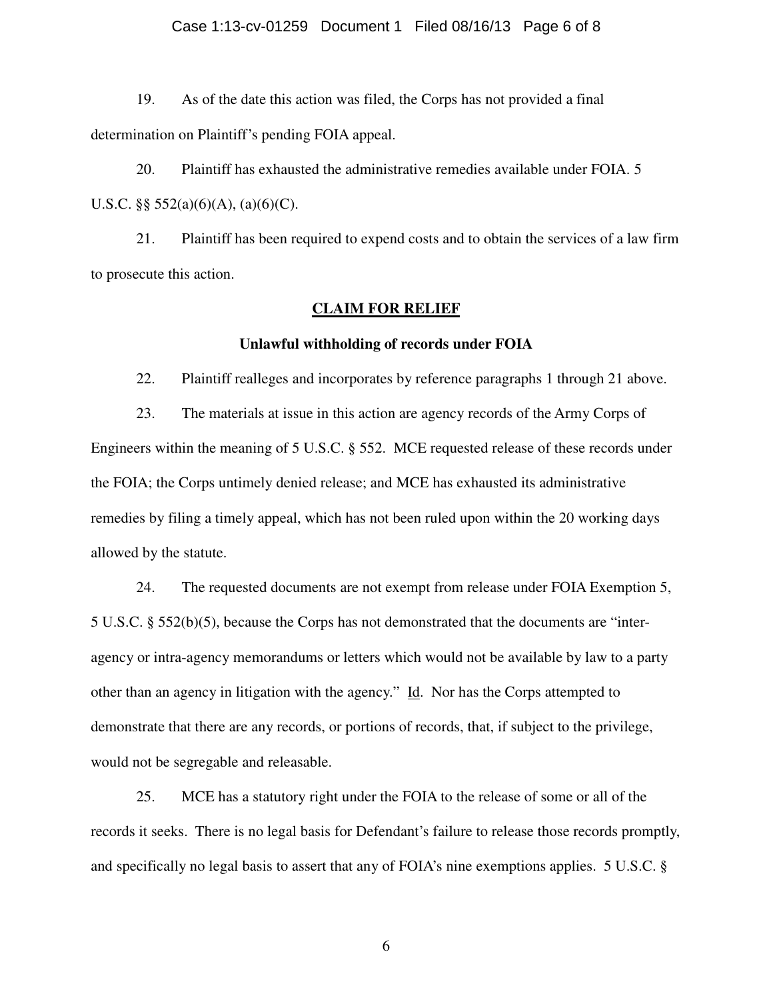### Case 1:13-cv-01259 Document 1 Filed 08/16/13 Page 6 of 8

19. As of the date this action was filed, the Corps has not provided a final determination on Plaintiff's pending FOIA appeal.

20. Plaintiff has exhausted the administrative remedies available under FOIA. 5 U.S.C.  $\S$ § 552(a)(6)(A), (a)(6)(C).

21. Plaintiff has been required to expend costs and to obtain the services of a law firm to prosecute this action.

### **CLAIM FOR RELIEF**

### **Unlawful withholding of records under FOIA**

22. Plaintiff realleges and incorporates by reference paragraphs 1 through 21 above.

23. The materials at issue in this action are agency records of the Army Corps of Engineers within the meaning of 5 U.S.C. § 552. MCE requested release of these records under the FOIA; the Corps untimely denied release; and MCE has exhausted its administrative remedies by filing a timely appeal, which has not been ruled upon within the 20 working days allowed by the statute.

24. The requested documents are not exempt from release under FOIA Exemption 5, 5 U.S.C. § 552(b)(5), because the Corps has not demonstrated that the documents are "interagency or intra-agency memorandums or letters which would not be available by law to a party other than an agency in litigation with the agency."  $\underline{Id}$ . Nor has the Corps attempted to demonstrate that there are any records, or portions of records, that, if subject to the privilege, would not be segregable and releasable.

25. MCE has a statutory right under the FOIA to the release of some or all of the records it seeks. There is no legal basis for Defendant's failure to release those records promptly, and specifically no legal basis to assert that any of FOIA's nine exemptions applies. 5 U.S.C. §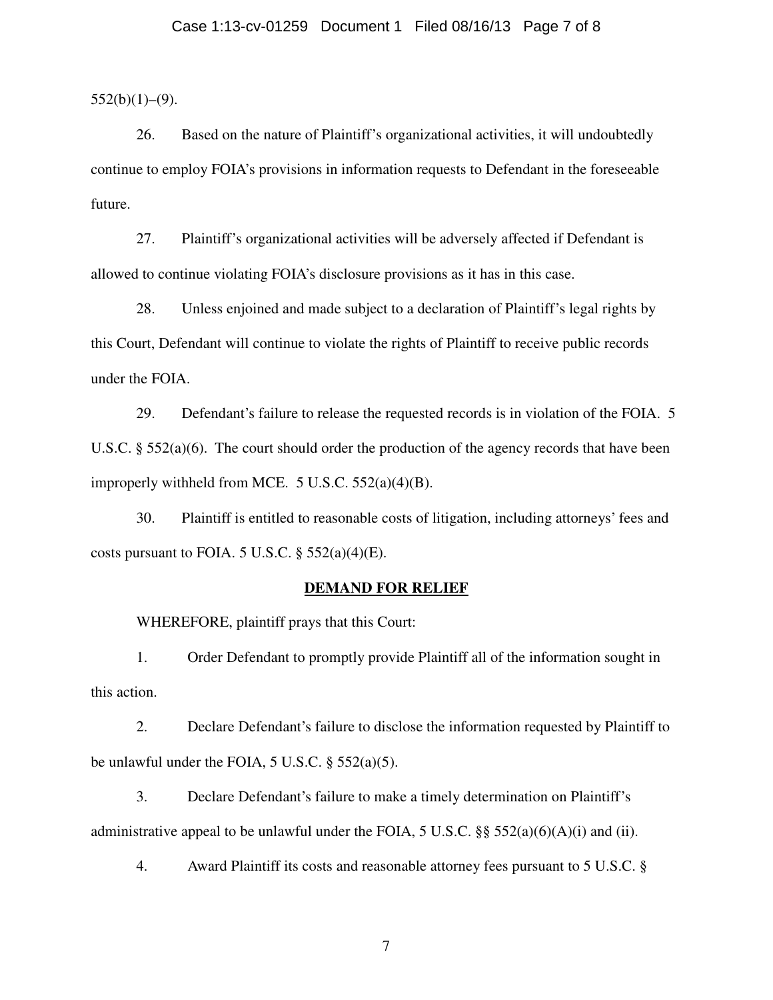### Case 1:13-cv-01259 Document 1 Filed 08/16/13 Page 7 of 8

 $552(b)(1)–(9)$ .

26. Based on the nature of Plaintiff's organizational activities, it will undoubtedly continue to employ FOIA's provisions in information requests to Defendant in the foreseeable future.

27. Plaintiff's organizational activities will be adversely affected if Defendant is allowed to continue violating FOIA's disclosure provisions as it has in this case.

28. Unless enjoined and made subject to a declaration of Plaintiff's legal rights by this Court, Defendant will continue to violate the rights of Plaintiff to receive public records under the FOIA.

29. Defendant's failure to release the requested records is in violation of the FOIA. 5 U.S.C. § 552(a)(6). The court should order the production of the agency records that have been improperly withheld from MCE. 5 U.S.C. 552(a)(4)(B).

30. Plaintiff is entitled to reasonable costs of litigation, including attorneys' fees and costs pursuant to FOIA. 5 U.S.C.  $\S$  552(a)(4)(E).

#### **DEMAND FOR RELIEF**

WHEREFORE, plaintiff prays that this Court:

1. Order Defendant to promptly provide Plaintiff all of the information sought in this action.

2. Declare Defendant's failure to disclose the information requested by Plaintiff to be unlawful under the FOIA, 5 U.S.C. § 552(a)(5).

3. Declare Defendant's failure to make a timely determination on Plaintiff's administrative appeal to be unlawful under the FOIA, 5 U.S.C.  $\S$ § 552(a)(6)(A)(i) and (ii).

4. Award Plaintiff its costs and reasonable attorney fees pursuant to 5 U.S.C. §